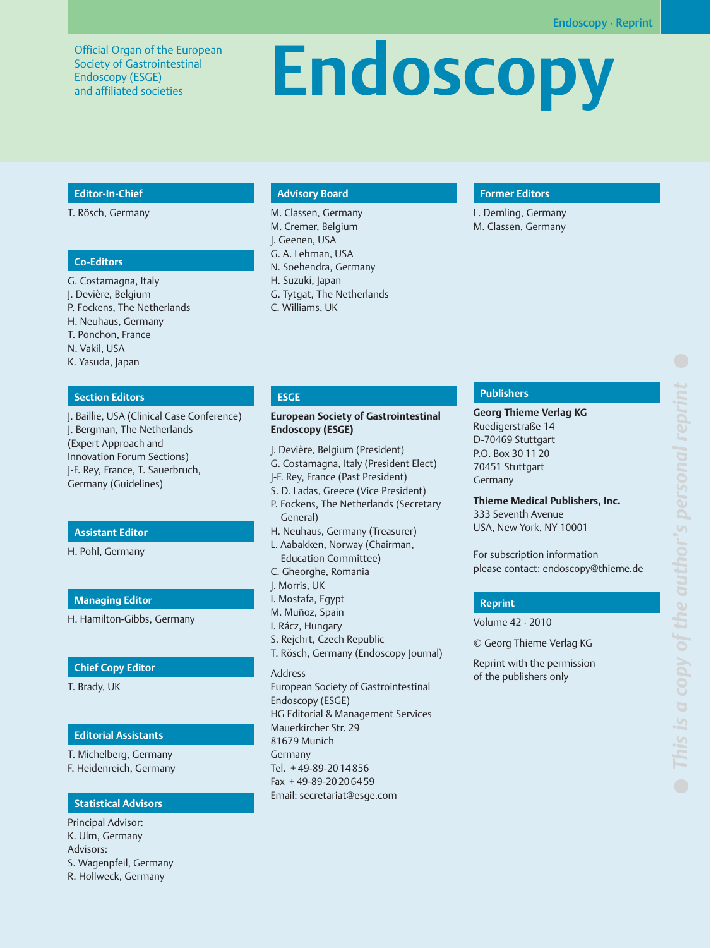Official Organ of the European Society of Gastrointestinal Endoscopy (ESGE) and affiliated societies

# **Endoscopy**

### **Editor-In-Chief**

T. Rösch, Germany

#### **Co-Editors**

G. Costamagna, Italy J. Devière, Belgium P. Fockens, The Netherlands H. Neuhaus, Germany T. Ponchon, France N. Vakil, USA K. Yasuda, Japan

## **Section Editors**

J. Baillie, USA (Clinical Case Conference) J. Bergman, The Netherlands (Expert Approach and Innovation Forum Sections) J-F. Rey, France, T. Sauerbruch, Germany (Guidelines)

#### **Assistant Editor**

H. Pohl, Germany

#### **Managing Editor**

H. Hamilton-Gibbs, Germany

#### **Chief Copy Editor**

T. Brady, UK

#### **Editorial Assistants**

T. Michelberg, Germany F. Heidenreich, Germany

#### **Statistical Advisors**

Principal Advisor: K. Ulm, Germany Advisors: S. Wagenpfeil, Germany R. Hollweck, Germany

#### **Advisory Board**

M. Classen, Germany M. Cremer, Belgium I. Geenen, USA G. A. Lehman, USA N. Soehendra, Germany H. Suzuki, Japan G. Tytgat, The Netherlands C. Williams, UK

#### **Former Editors**

L. Demling, Germany M. Classen, Germany

# **ESGE**

#### **European Society of Gastrointestinal Endoscopy (ESGE)**

- J. Devière, Belgium (President)
- G. Costamagna, Italy (President Elect)
- I-F. Rey, France (Past President)
- S. D. Ladas, Greece (Vice President)
- P. Fockens, The Netherlands (Secretary General)
- H. Neuhaus, Germany (Treasurer)
- L. Aabakken, Norway (Chairman, **Education Committee)**
- C. Gheorghe, Romania
- J. Morris, UK
- I. Mostafa, Eqypt
- M. Muñoz, Spain
- I. Rácz, Hungary
- S. Rejchrt, Czech Republic
- T. Rösch, Germany (Endoscopy Journal)

**Address** 

European Society of Gastrointestinal Endoscopy (ESGE) HG Editorial & Management Services Mauerkircher Str. 29 81679 Munich Germany Tel. +49-89-2014856 Fax +49-89-20206459 Email: secretariat@esge.com

# **Publishers**

**Georg Thieme Verlag KG** Ruedigerstraße 14 D-70469 Stuttgart P.O. Box 30 11 20 70451 Stuttgart Germany

Thieme Medical Publishers, Inc. 333 Seventh Avenue USA, New York, NY 10001

For subscription information please contact: endoscopy@thieme.de

#### **Reprint**

Volume 42 · 2010

© Georg Thieme Verlag KG

Reprint with the permission of the publishers only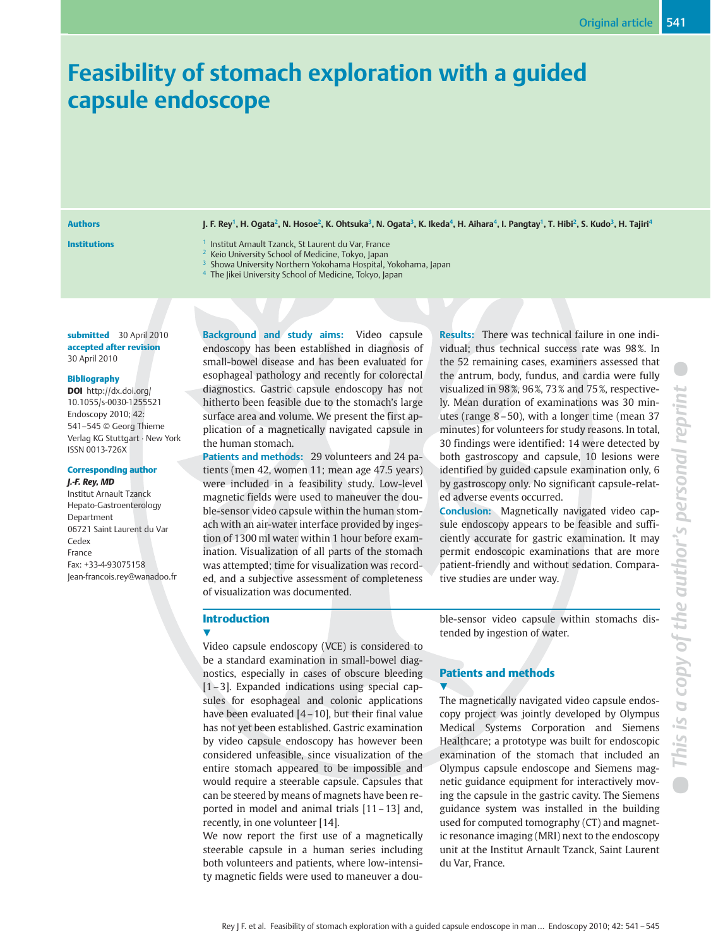# Feasibility of stomach exploration with a guided capsule endoscope

Authors J. F. Rey<sup>1</sup>, H. Ogata<sup>2</sup>, N. Hosoe<sup>2</sup>, K. Ohtsuka<sup>3</sup>, N. Ogata<sup>3</sup>, K. Ikeda<sup>4</sup>, H. Aihara<sup>4</sup>, I. Pangtay<sup>1</sup>, T. Hibi<sup>2</sup>, S. Kudo<sup>3</sup>, H. Tajiri<sup>4</sup>

**Institutions** 1 Institut Arnault Tzanck, St Laurent du Var, France

- <sup>2</sup> Keio University School of Medicine, Tokyo, Japan
- <sup>3</sup> Showa University Northern Yokohama Hospital, Yokohama, Japan
- <sup>4</sup> The Jikei University School of Medicine, Tokyo, Japan

submitted 30 April 2010 accepted after revision 30 April 2010

#### Bibliography

DOI http://dx.doi.org/ 10.1055/s-0030-1255521 Endoscopy 2010; 42: 541–545 © Georg Thieme Verlag KG Stuttgart · New York ISSN 0013-726X

#### Corresponding author

J.-F. Rey, MD

Institut Arnault Tzanck Hepato-Gastroenterology Department 06721 Saint Laurent du Var Cedex France Fax: +33-4-93075158 Jean-francois.rey@wanadoo.fr

Background and study aims: Video capsule endoscopy has been established in diagnosis of small-bowel disease and has been evaluated for esophageal pathology and recently for colorectal diagnostics. Gastric capsule endoscopy has not hitherto been feasible due to the stomach's large surface area and volume. We present the first application of a magnetically navigated capsule in the human stomach.

Patients and methods: 29 volunteers and 24 patients (men 42, women 11; mean age 47.5 years) were included in a feasibility study. Low-level magnetic fields were used to maneuver the double-sensor video capsule within the human stomach with an air-water interface provided by ingestion of 1300 ml water within 1 hour before examination. Visualization of all parts of the stomach was attempted; time for visualization was recorded, and a subjective assessment of completeness of visualization was documented.

Results: There was technical failure in one individual; thus technical success rate was 98 %. In the 52 remaining cases, examiners assessed that the antrum, body, fundus, and cardia were fully visualized in 98 %, 96 %, 73 % and 75 %, respectively. Mean duration of examinations was 30 minutes (range 8–50), with a longer time (mean 37 minutes) for volunteers for study reasons. In total, 30 findings were identified: 14 were detected by both gastroscopy and capsule, 10 lesions were identified by guided capsule examination only, 6 by gastroscopy only. No significant capsule-related adverse events occurred.

Conclusion: Magnetically navigated video capsule endoscopy appears to be feasible and sufficiently accurate for gastric examination. It may permit endoscopic examinations that are more patient-friendly and without sedation. Comparative studies are under way.

#### Introduction

 $\blacktriangledown$ 

Video capsule endoscopy (VCE) is considered to be a standard examination in small-bowel diagnostics, especially in cases of obscure bleeding [1–3]. Expanded indications using special capsules for esophageal and colonic applications have been evaluated [4-10], but their final value has not yet been established. Gastric examination by video capsule endoscopy has however been considered unfeasible, since visualization of the entire stomach appeared to be impossible and would require a steerable capsule. Capsules that can be steered by means of magnets have been reported in model and animal trials [11–13] and, recently, in one volunteer [14].

We now report the first use of a magnetically steerable capsule in a human series including both volunteers and patients, where low-intensity magnetic fields were used to maneuver a double-sensor video capsule within stomachs distended by ingestion of water.

#### Patients and methods  $\blacktriangledown$

The magnetically navigated video capsule endoscopy project was jointly developed by Olympus Medical Systems Corporation and Siemens Healthcare; a prototype was built for endoscopic examination of the stomach that included an Olympus capsule endoscope and Siemens magnetic guidance equipment for interactively moving the capsule in the gastric cavity. The Siemens guidance system was installed in the building used for computed tomography (CT) and magnetic resonance imaging (MRI) next to the endoscopy unit at the Institut Arnault Tzanck, Saint Laurent du Var, France.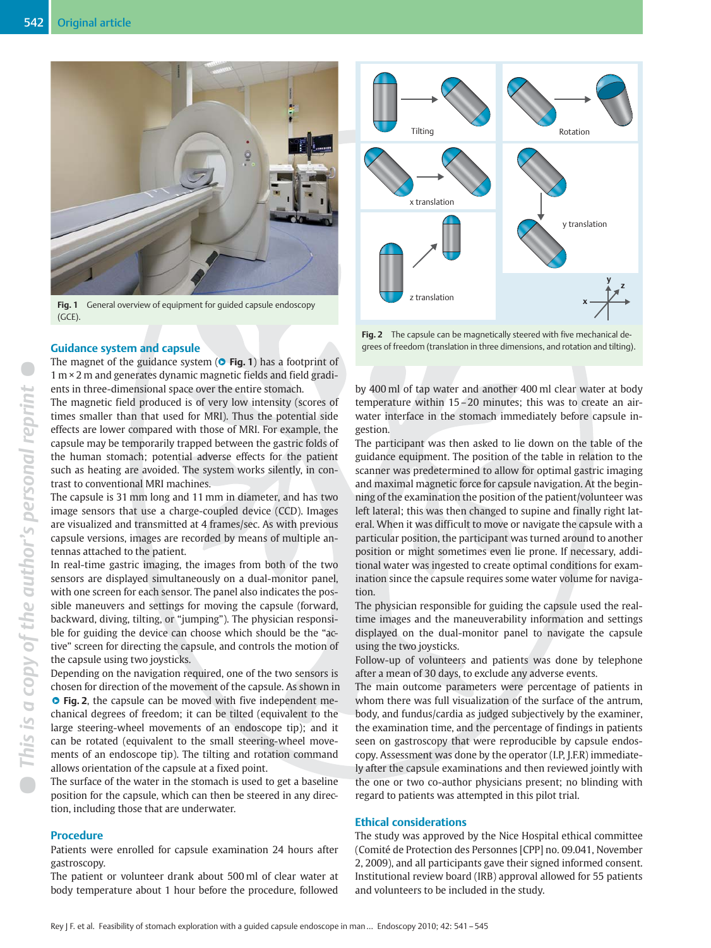

Fig. 1 General overview of equipment for guided capsule endoscopy (GCE).

#### Guidance system and capsule

The magnet of the guidance system  $(①$  Fig. 1) has a footprint of 1 m × 2 m and generates dynamic magnetic fields and field gradients in three-dimensional space over the entire stomach.

The magnetic field produced is of very low intensity (scores of times smaller than that used for MRI). Thus the potential side effects are lower compared with those of MRI. For example, the capsule may be temporarily trapped between the gastric folds of the human stomach; potential adverse effects for the patient such as heating are avoided. The system works silently, in contrast to conventional MRI machines.

The capsule is 31 mm long and 11 mm in diameter, and has two image sensors that use a charge-coupled device (CCD). Images are visualized and transmitted at 4 frames/sec. As with previous capsule versions, images are recorded by means of multiple antennas attached to the patient.

In real-time gastric imaging, the images from both of the two sensors are displayed simultaneously on a dual-monitor panel, with one screen for each sensor. The panel also indicates the possible maneuvers and settings for moving the capsule (forward, backward, diving, tilting, or "jumping"). The physician responsible for guiding the device can choose which should be the "active" screen for directing the capsule, and controls the motion of the capsule using two joysticks.

Depending on the navigation required, one of the two sensors is chosen for direction of the movement of the capsule. As shown in

**• Fig. 2**, the capsule can be moved with five independent mechanical degrees of freedom; it can be tilted (equivalent to the large steering-wheel movements of an endoscope tip); and it can be rotated (equivalent to the small steering-wheel movements of an endoscope tip). The tilting and rotation command allows orientation of the capsule at a fixed point.

The surface of the water in the stomach is used to get a baseline position for the capsule, which can then be steered in any direction, including those that are underwater.

#### Procedure

Patients were enrolled for capsule examination 24 hours after gastroscopy.

The patient or volunteer drank about 500 ml of clear water at body temperature about 1 hour before the procedure, followed



Fig. 2 The capsule can be magnetically steered with five mechanical degrees of freedom (translation in three dimensions, and rotation and tilting).

by 400 ml of tap water and another 400 ml clear water at body temperature within 15–20 minutes; this was to create an airwater interface in the stomach immediately before capsule ingestion.

The participant was then asked to lie down on the table of the guidance equipment. The position of the table in relation to the scanner was predetermined to allow for optimal gastric imaging and maximal magnetic force for capsule navigation. At the beginning of the examination the position of the patient/volunteer was left lateral; this was then changed to supine and finally right lateral. When it was difficult to move or navigate the capsule with a particular position, the participant was turned around to another position or might sometimes even lie prone. If necessary, additional water was ingested to create optimal conditions for examination since the capsule requires some water volume for navigation.

The physician responsible for guiding the capsule used the realtime images and the maneuverability information and settings displayed on the dual-monitor panel to navigate the capsule using the two joysticks.

Follow-up of volunteers and patients was done by telephone after a mean of 30 days, to exclude any adverse events.

The main outcome parameters were percentage of patients in whom there was full visualization of the surface of the antrum, body, and fundus/cardia as judged subjectively by the examiner, the examination time, and the percentage of findings in patients seen on gastroscopy that were reproducible by capsule endoscopy. Assessment was done by the operator (I.P, J.F.R) immediately after the capsule examinations and then reviewed jointly with the one or two co-author physicians present; no blinding with regard to patients was attempted in this pilot trial.

#### Ethical considerations

The study was approved by the Nice Hospital ethical committee (Comité de Protection des Personnes [CPP] no. 09.041, November 2, 2009), and all participants gave their signed informed consent. Institutional review board (IRB) approval allowed for 55 patients and volunteers to be included in the study.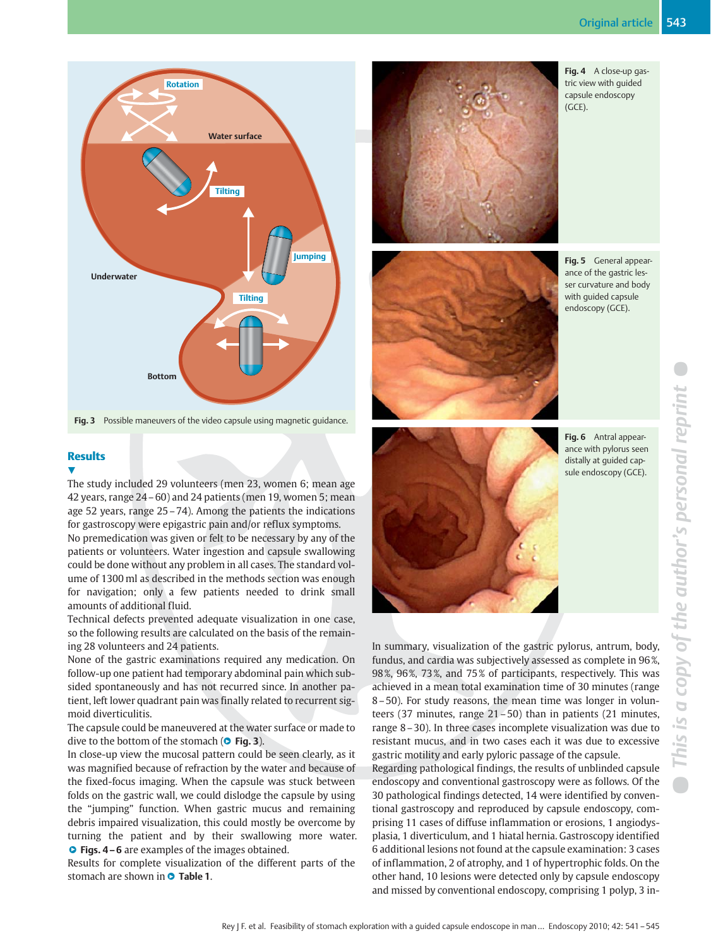Fig. 4 A close-up gastric view with guided capsule endoscopy

(GCE).



Fig. 3 Possible maneuvers of the video capsule using magnetic guidance.

# Results

v. The study included 29 volunteers (men 23, women 6; mean age 42 years, range 24–60) and 24 patients (men 19, women 5; mean age 52 years, range 25–74). Among the patients the indications for gastroscopy were epigastric pain and/or reflux symptoms.

No premedication was given or felt to be necessary by any of the patients or volunteers. Water ingestion and capsule swallowing could be done without any problem in all cases. The standard volume of 1300 ml as described in the methods section was enough for navigation; only a few patients needed to drink small amounts of additional fluid.

Technical defects prevented adequate visualization in one case, so the following results are calculated on the basis of the remaining 28 volunteers and 24 patients.

None of the gastric examinations required any medication. On follow-up one patient had temporary abdominal pain which subsided spontaneously and has not recurred since. In another patient, left lower quadrant pain was finally related to recurrent sigmoid diverticulitis.

The capsule could be maneuvered at the water surface or made to dive to the bottom of the stomach ( $\bullet$  Fig. 3).

In close-up view the mucosal pattern could be seen clearly, as it was magnified because of refraction by the water and because of the fixed-focus imaging. When the capsule was stuck between folds on the gastric wall, we could dislodge the capsule by using the "jumping" function. When gastric mucus and remaining debris impaired visualization, this could mostly be overcome by turning the patient and by their swallowing more water. **• Figs. 4–6** are examples of the images obtained.

Results for complete visualization of the different parts of the stomach are shown in **O** Table 1.





Fig. 5 General appearance of the gastric lesser curvature and body with guided capsule endoscopy (GCE).



Fig. 6 Antral appearance with pylorus seen distally at guided capsule endoscopy (GCE).

In summary, visualization of the gastric pylorus, antrum, body, fundus, and cardia was subjectively assessed as complete in 96 %, 98%, 96%, 73%, and 75% of participants, respectively. This was achieved in a mean total examination time of 30 minutes (range 8–50). For study reasons, the mean time was longer in volunteers (37 minutes, range 21–50) than in patients (21 minutes, range 8–30). In three cases incomplete visualization was due to resistant mucus, and in two cases each it was due to excessive gastric motility and early pyloric passage of the capsule.

Regarding pathological findings, the results of unblinded capsule endoscopy and conventional gastroscopy were as follows. Of the 30 pathological findings detected, 14 were identified by conventional gastroscopy and reproduced by capsule endoscopy, comprising 11 cases of diffuse inflammation or erosions, 1 angiodysplasia, 1 diverticulum, and 1 hiatal hernia. Gastroscopy identified 6 additional lesions not found at the capsule examination: 3 cases of inflammation, 2 of atrophy, and 1 of hypertrophic folds. On the other hand, 10 lesions were detected only by capsule endoscopy and missed by conventional endoscopy, comprising 1 polyp, 3 in-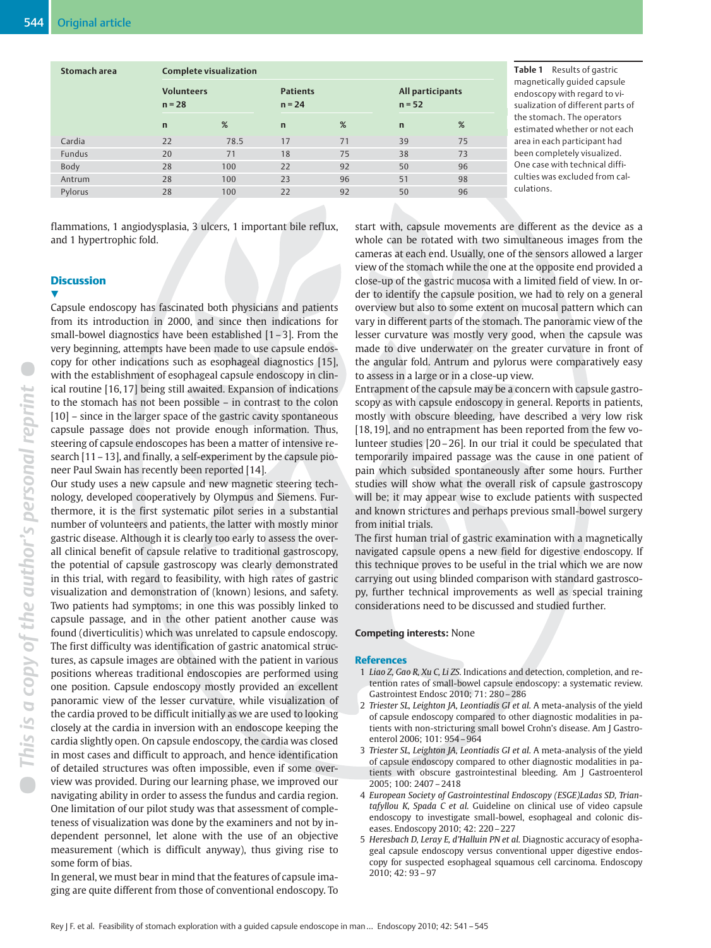| <b>Stomach area</b> | <b>Complete visualization</b> |      |                             |    |                              |    |
|---------------------|-------------------------------|------|-----------------------------|----|------------------------------|----|
|                     | <b>Volunteers</b><br>$n = 28$ |      | <b>Patients</b><br>$n = 24$ |    | All participants<br>$n = 52$ |    |
|                     | $\mathbf n$                   | %    | $\mathbf n$                 | %  | $\mathbf n$                  | %  |
| Cardia              | 22                            | 78.5 | 17                          | 71 | 39                           | 75 |
| Fundus              | 20                            | 71   | 18                          | 75 | 38                           | 73 |
| Body                | 28                            | 100  | 22                          | 92 | 50                           | 96 |
| Antrum              | 28                            | 100  | 23                          | 96 | 51                           | 98 |
| Pylorus             | 28                            | 100  | 22                          | 92 | 50                           | 96 |

flammations, 1 angiodysplasia, 3 ulcers, 1 important bile reflux, and 1 hypertrophic fold.

# **Discussion**

v Capsule endoscopy has fascinated both physicians and patients from its introduction in 2000, and since then indications for small-bowel diagnostics have been established [1–3]. From the very beginning, attempts have been made to use capsule endoscopy for other indications such as esophageal diagnostics [15], with the establishment of esophageal capsule endoscopy in clinical routine [16, 17] being still awaited. Expansion of indications to the stomach has not been possible – in contrast to the colon [10] – since in the larger space of the gastric cavity spontaneous capsule passage does not provide enough information. Thus, steering of capsule endoscopes has been a matter of intensive research [11–13], and finally, a self-experiment by the capsule pioneer Paul Swain has recently been reported [14].

Our study uses a new capsule and new magnetic steering technology, developed cooperatively by Olympus and Siemens. Furthermore, it is the first systematic pilot series in a substantial number of volunteers and patients, the latter with mostly minor gastric disease. Although it is clearly too early to assess the overall clinical benefit of capsule relative to traditional gastroscopy, the potential of capsule gastroscopy was clearly demonstrated in this trial, with regard to feasibility, with high rates of gastric visualization and demonstration of (known) lesions, and safety. Two patients had symptoms; in one this was possibly linked to capsule passage, and in the other patient another cause was found (diverticulitis) which was unrelated to capsule endoscopy. The first difficulty was identification of gastric anatomical structures, as capsule images are obtained with the patient in various positions whereas traditional endoscopies are performed using one position. Capsule endoscopy mostly provided an excellent panoramic view of the lesser curvature, while visualization of the cardia proved to be difficult initially as we are used to looking closely at the cardia in inversion with an endoscope keeping the cardia slightly open. On capsule endoscopy, the cardia was closed in most cases and difficult to approach, and hence identification of detailed structures was often impossible, even if some overview was provided. During our learning phase, we improved our navigating ability in order to assess the fundus and cardia region. One limitation of our pilot study was that assessment of completeness of visualization was done by the examiners and not by independent personnel, let alone with the use of an objective measurement (which is difficult anyway), thus giving rise to some form of bias.

In general, we must bear in mind that the features of capsule imaging are quite different from those of conventional endoscopy. To Table 1 Results of gastric magnetically guided capsule endoscopy with regard to visualization of different parts of the stomach. The operators estimated whether or not each area in each participant had been completely visualized. One case with technical difficulties was excluded from calculations.

start with, capsule movements are different as the device as a whole can be rotated with two simultaneous images from the cameras at each end. Usually, one of the sensors allowed a larger view of the stomach while the one at the opposite end provided a close-up of the gastric mucosa with a limited field of view. In order to identify the capsule position, we had to rely on a general overview but also to some extent on mucosal pattern which can vary in different parts of the stomach. The panoramic view of the lesser curvature was mostly very good, when the capsule was made to dive underwater on the greater curvature in front of the angular fold. Antrum and pylorus were comparatively easy to assess in a large or in a close-up view.

Entrapment of the capsule may be a concern with capsule gastroscopy as with capsule endoscopy in general. Reports in patients, mostly with obscure bleeding, have described a very low risk [18, 19], and no entrapment has been reported from the few volunteer studies [20–26]. In our trial it could be speculated that temporarily impaired passage was the cause in one patient of pain which subsided spontaneously after some hours. Further studies will show what the overall risk of capsule gastroscopy will be; it may appear wise to exclude patients with suspected and known strictures and perhaps previous small-bowel surgery from initial trials.

The first human trial of gastric examination with a magnetically navigated capsule opens a new field for digestive endoscopy. If this technique proves to be useful in the trial which we are now carrying out using blinded comparison with standard gastroscopy, further technical improvements as well as special training considerations need to be discussed and studied further.

#### Competing interests: None

#### **References**

- 1 Liao Z, Gao R, Xu C, Li ZS. Indications and detection, completion, and retention rates of small-bowel capsule endoscopy: a systematic review. Gastrointest Endosc 2010; 71: 280–286
- 2 Triester SL, Leighton JA, Leontiadis GI et al. A meta-analysis of the yield of capsule endoscopy compared to other diagnostic modalities in patients with non-stricturing small bowel Crohn's disease. Am J Gastroenterol 2006; 101: 954–964
- 3 Triester SL, Leighton JA, Leontiadis GI et al. A meta-analysis of the yield of capsule endoscopy compared to other diagnostic modalities in patients with obscure gastrointestinal bleeding. Am J Gastroenterol 2005; 100: 2407–2418
- 4 European Society of Gastrointestinal Endoscopy (ESGE)Ladas SD, Triantafyllou K, Spada C et al. Guideline on clinical use of video capsule endoscopy to investigate small-bowel, esophageal and colonic diseases. Endoscopy 2010; 42: 220–227
- 5 Heresbach D, Leray E, d'Halluin PN et al. Diagnostic accuracy of esophageal capsule endoscopy versus conventional upper digestive endoscopy for suspected esophageal squamous cell carcinoma. Endoscopy 2010; 42: 93–97